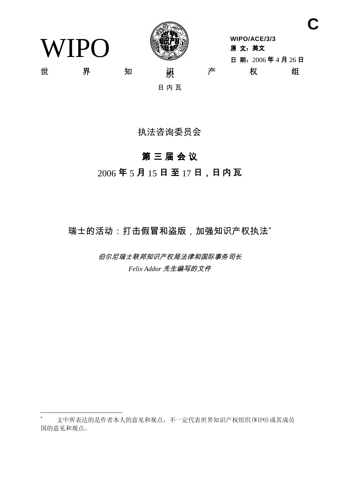WIPO



**WIPO/ACE/3/3** 原 文: 英文 日期: 2006年4月26日 Ϫ ⬠ ⶹ 㒛䆚 ѻ ᴗ 㒘

**C**

日内瓦

# 执法咨询委员会

# 第三届会议

# $2006$ 年5月15日至17日,日内瓦

瑞士的活动:打击假冒和盗版,加强知识产权执法\*

伯尔尼瑞士联邦知识产权局法律和国际事务司长 Felix Addor 先生编写的文件

文中所表达的是作者本人的意见和观点,不一定代表世界知识产权组织(WIPO)或其成员 国的意见和观点。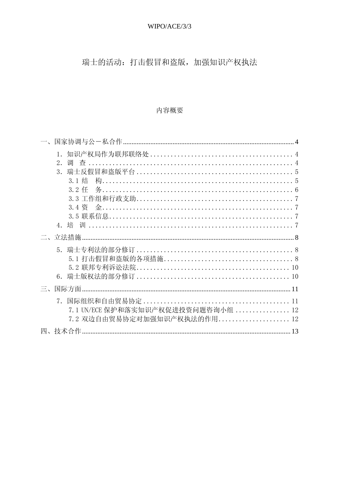# WIPO/ACE/3/3

瑞士的活动: 打击假冒和盗版, 加强知识产权执法

# 内容概要

|          | 2.<br>3.<br>3.1 结                                                       |  |
|----------|-------------------------------------------------------------------------|--|
| $\Box$ . |                                                                         |  |
|          | 6.                                                                      |  |
| $\equiv$ |                                                                         |  |
|          | 7.<br>7.1 UN/ECE 保护和落实知识产权促进投资问题咨询小组  12<br>7.2 双边自由贸易协定对加强知识产权执法的作用 12 |  |
|          |                                                                         |  |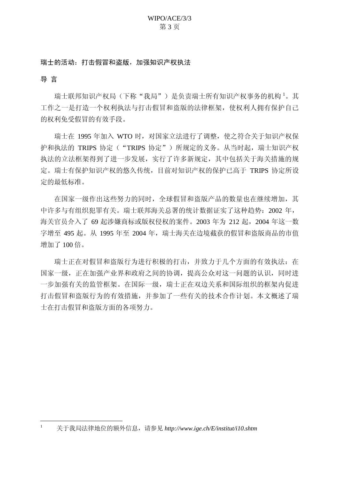#### 瑞士的活动:打击假冒和盗版, 加强知识产权执法

导言

瑞士联邦知识产权局(下称"我局")是负责瑞士所有知识产权事务的机构<sup>1</sup>。其 工作之一是打造一个权利执法与打击假冒和盗版的法律框架, 使权利人拥有保护自己 的权利免受假冒的有效手段。

瑞士在 1995 年加入 WTO 时,对国家立法进行了调整,使之符合关于知识产权保 护和执法的 TRIPS 协定 ("TRIPS 协定") 所规定的义务。从当时起, 瑞士知识产权 执法的立法框架得到了进一步发展, 实行了许多新规定, 其中包括关于海关措施的规 定。瑞士有保护知识产权的悠久传统,目前对知识产权的保护已高于 TRIPS 协定所设 定的最低标准。

在国家一级作出这些努力的同时, 全球假冒和盗版产品的数量也在继续增加, 其 中许多与有组织犯罪有关。瑞士联邦海关总署的统计数据证实了这种趋势: 2002 年, 海关官员介入了 69 起涉嫌商标或版权侵权的案件。2003 年为 212 起, 2004 年这一数 字增至 495 起。从 1995 年至 2004 年, 瑞士海关在边境截获的假冒和盗版商品的市值 增加了100 倍。

瑞士正在对假冒和盗版行为进行积极的打击,并致力于几个方面的有效执法: 在 国家一级,正在加强产业界和政府之间的协调,提高公众对这一问题的认识,同时进 一步加强有关的监管框架。在国际一级,瑞士正在双边关系和国际组织的框架内促进 打击假冒和盗版行为的有效措施,并参加了一些有关的技术合作计划。本文概述了瑞 士在打击假冒和盗版方面的各项努力。

关于我局法律地位的额外信息, 请参见 http://www.ige.ch/E/institut/i10.shtm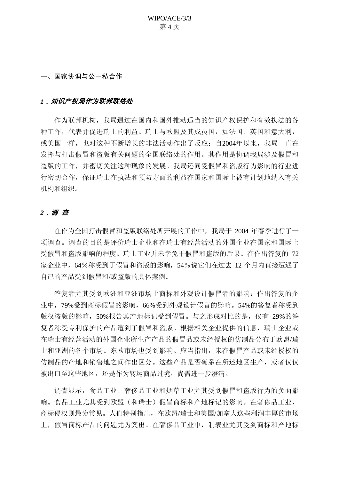WIPO/ACE/3/3 第4页

<span id="page-3-0"></span>一、国家协调与公一私合作

#### <u>】,知识产权局作为联邦联络处</u>

作为联邦机构, 我局通过在国内和国外推动适当的知识产权保护和有效执法的各 种工作,代表并促进瑞士的利益。瑞士与欧盟及其成员国,如法国、英国和意大利, 或美国一样, 也对这种不断增长的非法活动作出了反应: 自2004年以来, 我局一直在 发挥与打击假冒和盗版有关问题的全国联络处的作用。其作用是协调我局涉及假冒和 盗版的工作,并密切关注这种现象的发展。我局还同受假冒和盗版行为影响的行业进 行密切合作, 保证瑞士在执法和预防方面的利益在国家和国际上被有计划地纳入有关 机构和组织。

## 2. 调查

在作为全国打击假冒和盗版联络处所开展的工作中, 我局于 2004 年春季进行了一 项调杳。调杳的目的是评价瑞士企业和在瑞士有经营活动的外国企业在国家和国际上 受假冒和盗版影响的程度。瑞士工业并未幸免于假冒和盗版的后果。在作出答复的 72 家企业中, 64%称受到了假冒和盗版的影响, 54%说它们在过去 12 个月内直接遭遇了 自己的产品受到假冒和/或盗版的具体案例。

答复者尤其受到欧洲和亚洲市场上商标和外观设计假冒者的影响: 作出答复的企 业中, 79%受到商标假冒的影响, 66%受到外观设计假冒的影响。54%的答复者称受到 版权盗版的影响, 50%报告其产地标记受到假冒。与之形成对比的是, 仅有 29%的答 复者称受专利保护的产品遭到了假冒和盗版。根据相关企业提供的信息,瑞士企业或 在瑞士有经营活动的外国企业所生产产品的假冒品或未经授权的仿制品分布于欧盟/瑞 士和亚洲的各个市场。东欧市场也受到影响。应当指出,未在假冒产品或未经授权的 仿制品的产地和销售地之间作出区分。这些产品是否确系在所述地区生产, 或者仅仅 被出口至这些地区, 还是作为转运商品过境, 尚需进一步澄清。

调查显示,食品工业、奢侈品工业和烟草工业尤其受到假冒和盗版行为的负面影 响。食品工业尤其受到欧盟(和瑞士)假冒商标和产地标记的影响。在奢侈品工业, 商标侵权则最为常见。人们特别指出, 在欧盟/瑞士和美国/加拿大这些利润丰厚的市场 上,假冒商标产品的问题尤为突出。在奢侈品工业中,制表业尤其受到商标和产地标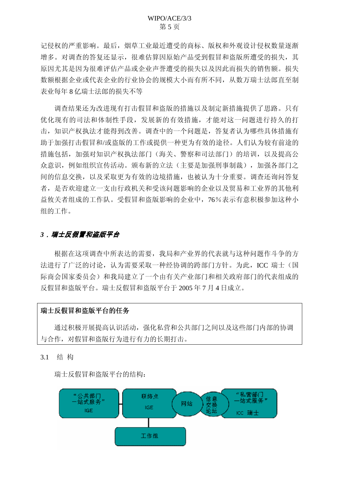第5页

<span id="page-4-0"></span>记侵权的严重影响。最后, 烟草工业最近遭受的商标、版权和外观设计侵权数量逐渐 增多。对调查的答复还显示,很难估算因原始产品受到假冒和盗版所遭受的损失,其 原因尤其是因为很难评估产品或企业声誉遭受的损失以及因此而损失的销售额。损失 数额根据企业或代表企业的行业协会的规模大小而有所不同,从数万瑞士法郎直至制 表业每年8 亿瑞士法郎的损失不等

调查结果还为改进现有打击假冒和盗版的措施以及制定新措施提供了思路。只有 优化现有的司法和体制性手段,发展新的有效措施,才能对这一问题进行持久的打 击, 知识产权执法才能得到改善。调查中的一个问题是, 答复者认为哪些具体措施有 助于加强打击假冒和/或盗版的工作或提供一种更为有效的途径。人们认为较有前途的 措施包括, 加强对知识产权执法部门(海关、警察和司法部门) 的培训, 以及提高公 众意识,例如组织宣传活动。颁布新的立法(主要是加强刑事制裁),加强各部门之 间的信息交换, 以及采取更为有效的边境措施, 也被认为十分重要。调查还询问答复 者, 是否欢迎建立一支由行政机关和受该问题影响的企业以及贸易和工业界的其他利 益攸关者组成的工作队。受假冒和盗版影响的企业中, 76%表示有意积极参加这种小 组的工作。

#### 3*﹐瑞士反假冒和盗版平台*

根据在这项调查中所表达的需要,我局和产业界的代表就与这种问题作斗争的方 法进行了广泛的讨论, 认为需要采取一种经协调的跨部门方针。为此, ICC 瑞士(国 际商会国家委员会)和我局建立了一个由有关产业部门和相关政府部门的代表组成的 反假冒和盗版平台。瑞士反假冒和盗版平台于 2005 年 7 月 4 日成立。

### 瑞士反假冒和盗版平台的任务

通过积极开展提高认识活动, 强化私营和公共部门之间以及这些部门内部的协调 与合作, 对假冒和盗版行为进行有力的长期打击。

3.1 结构

瑞士反假冒和盗版平台的结构:

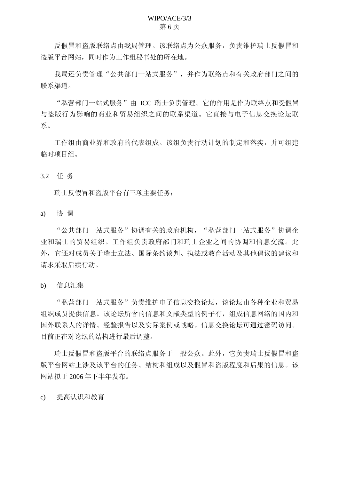<span id="page-5-0"></span>反假冒和盗版联络点由我局管理。该联络点为公众服务, 负责维护瑞士反假冒和 盗版平台网站,同时作为工作组秘书处的所在地。

我局还负责管理"公共部门一站式服务",并作为联络点和有关政府部门之间的 联系渠道。

"私营部门一站式服务"由 ICC 瑞士负责管理。它的作用是作为联络点和受假冒 与盗版行为影响的商业和贸易组织之间的联系渠道。它直接与电子信息交换论坛联 系。

工作组由商业界和政府的代表组成。该组负责行动计划的制定和落实,并可组建 临时项目组。

3.2 任务

瑞士反假冒和盗版平台有三项主要仟务:

a) 协调

"公共部门一站式服务"协调有关的政府机构, "私营部门一站式服务"协调企 业和瑞士的贸易组织。工作组负责政府部门和瑞士企业之间的协调和信息交流。此 外,它还对成员关于瑞士立法、国际条约谈判、执法或教育活动及其他倡议的建议和 请求采取后续行动。

b) 信息汇集

"私营部门一站式服务"负责维护电子信息交换论坛,该论坛由各种企业和贸易 组织成员提供信息。该论坛所含的信息和文献类型的例子有,组成信息网络的国内和 国外联系人的详情、经验报告以及实际案例或战略。信息交换论坛可通过密码访问。 目前正在对论坛的结构进行最后调整。

瑞士反假冒和盗版平台的联络点服务于一般公众。此外,它负责瑞士反假冒和盗 版平台网站上涉及该平台的任务、结构和组成以及假冒和盗版程度和后果的信息。该 网站拟于 2006年下半年发布。

c) 提高认识和教育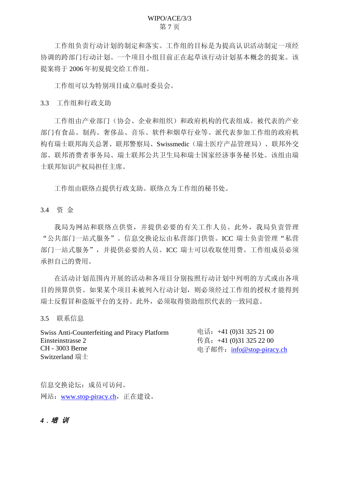#### WIPO/ACE/3/3 第7页

<span id="page-6-0"></span>工作组负责行动计划的制定和落实。工作组的目标是为提高认识活动制定一项经 协调的跨部门行动计划。一个项目小组目前正在起草该行动计划基本概念的提案。该 提案将于 2006 年初夏提交给工作组。

工作组可以为特别项目成立临时委员会。

3.3 工作组和行政支助

工作组由产业部门(协会、企业和组织)和政府机构的代表组成。被代表的产业 部门有食品、制药、奢侈品、音乐、软件和烟草行业等。派代表参加工作组的政府机 构有瑞士联邦海关总署、联邦警察局、Swissmedic(瑞士医疗产品管理局)、联邦外交 部、联邦消费者事务局、瑞士联邦公共卫生局和瑞士国家经济事务秘书处。该组由瑞 士联邦知识产权局担任主席。

工作组由联络点提供行政支助。联络点为工作组的秘书处。

3.4 资金

我局为网站和联络点供资,并提供必要的有关工作人员。此外,我局负责管理 "公共部门一站式服务"。信息交换论坛由私营部门供资。ICC 瑞士负责管理"私营 部门一站式服务",并提供必要的人员。ICC 瑞士可以收取使用费。工作组成员必须 承担自己的费用。

在活动计划范ြ所以开展的活动和各项目分别按照行动计划中列明的方式或由各项 目的预算供资。如果某个项目未被列入行动计划, 则必须经过工作组的授权才能得到 瑞士反假冒和盗版平台的支持。此外, 必须取得资助组织代表的一致同意。

3.5 联系信息

| <b>Swiss Anti-Counterfeiting and Piracy Platform</b> | 电话: +41 (0)31 325 21 00   |
|------------------------------------------------------|---------------------------|
| Einsteinstrasse 2                                    | 传真: +41 (0)31 325 22 00   |
| CH - 3003 Berne                                      | 电子邮件: info@stop-piracy.ch |
| Switzerland 瑞士                                       |                           |

信息交换论坛: 成员可访问。 网站: www.stop-piracy.ch, 正在建设。

4. 培训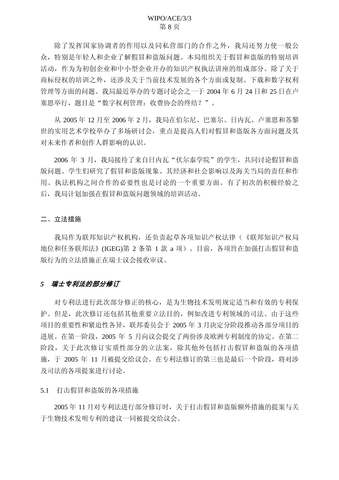<span id="page-7-0"></span>除了发挥国家协调者的作用以及同私营部门的合作之外,我局还努力使一般公 众,特别是年轻人和企业了解假冒和盗版问题。本局组织关于假冒和盗版的特别培训 活动,作为为初创企业和中小型企业开办的知识产权执法讲座的组成部分。除了关于 商标侵权的培训之外, 还涉及关于当前技术发展的各个方面或复制、下载和数字权利 管理等方面的问题。我局最近举办的专题讨论会之一于 2004年6月 24 日和 25 日在卢 寒恩举行, 题目是"数字权利管理: 收费协会的终结?"。

从 2005年 12 月至 2006年 2 月, 我局在伯尔尼、巴塞尔、日内瓦、卢塞恩和苏黎 世的实用艺术学校举办了多场研讨会, 重点是提高人们对假冒和盗版各方面问题及其 对未来作者和创作人群影响的认识。

2006 年 3 月, 我局接待了来自日内瓦"伏尔泰学院"的学生, 共同讨论假冒和盗 版问题。学生们研究了假冒和盗版现象、其经济和社会影响以及海关当局的责任和作 用。执法机构之间合作的必要性也是讨论的一个重要方面。有了初次的积极经验之 后, 我局计划加强在假冒和盗版问题领域的培训活动。

#### 二、立法措施

我局作为联邦知识产权机构, 还负责起草各项知识产权法律(《联邦知识产权局 地位和任务联邦法》(IGEG)第 2 条第 1 款 a 项) 。目前, 各项旨在加强打击假冒和盗 版行为的立法措施正在瑞士议会接收审议。

#### 5 瑞士专利法的部分修订

对专利法进行此次部分修正的核心, 是为生物技术发明规定适当和有效的专利保 护。但是, 此次修订还包括其他重要立法目的, 例如改进专利领域的司法。由于这些 项目的重要性和紧迫性各异, 联邦委员会于 2005 年 3 月决定分阶段推动各部分项目的 进展。在第一阶段, 2005 年 5 月向议会提交了两份涉及欧洲专利制度的协定。在第二 阶段,关于此次修订实质性部分的立法案,除其他外包括打击假冒和盗版的各项措 施,于 2005 年 11 月被提交给议会。在专利法修订的第三也是最后一个阶段, 将对涉 及司法的各项提案进行讨论。

#### 5.1 打击假冒和盗版的各项措施

2005年11月对专利法进行部分修订时,关于打击假冒和盗版额外措施的提案与关 于生物技术发明专利的建议一同被提交给议会。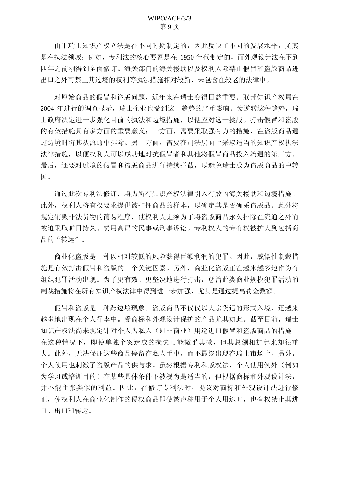由于瑞士知识产权立法是在不同时期制定的,因此反映了不同的发展水平,尤其 是在执法领域: 例如, 专利法的核心要素是在 1950 年代制定的, 而外观设计法在不到 四年之前刚得到全面修订。海关部门的海关援助以及权利人除禁止假冒和盗版商品进 出口之外可禁止其过境的权利等执法措施相对较新,未包含在较老的法律中。

对原始商品的假冒和盗版问题, 近年来在瑞士变得日益重要。联邦知识产权局在 2004 年进行的调查显示, 瑞士企业也受到这一趋势的严重影响。为逆转这种趋势, 瑞 士政府决定进一步强化目前的执法和边境措施,以便应对这一挑战。打击假冒和盗版 的有效措施具有多方面的重要意义: 一方面, 需要采取强有力的措施, 在盗版商品通 过边境时将其从流通中排除。另一方面,需要在司法层面上采取适当的知识产权执法 法律措施,以便权利人可以成功地对抗假冒者和其他将假冒商品投入流通的第三方。 最后, 还要对过境的假冒和盗版商品进行持续拦截, 以避免瑞士成为盗版商品的中转 国。

通过此次专利法修订, 将为所有知识产权法律引入有效的海关援助和边境措施。 此外, 权利人将有权要求提供被扣押商品的样本, 以确定其是否确系盗版品。此外将 规定销毁非法货物的简易程序, 使权利人无须为了将盗版商品永久排除在流通之外而 被迫采取旷日持久、费用高昂的民事或刑事诉讼。专利权人的专有权被扩大到包括商 品的"转运"。

商业化盗版是一种以相对较低的风险获得巨额利润的犯罪。因此, 威慑性制裁措 施是有效打击假冒和盗版的一个关键因素。另外, 商业化盗版正在越来越多地作为有 组织犯罪活动出现。为了更有效、更坚决地进行打击,惩治此类商业规模犯罪活动的 制裁措施将在所有知识产权法律中得到进一步加强, 尤其是通过提高罚金数额。

假冒和盗版是一种跨边境现象。盗版商品不仅仅以大宗货运的形式入境,还越来 越多地出现在个人行李中。受商标和外观设计保护的产品尤其如此。截至目前,瑞士 知识产权法尚未规定针对个人为私人(即非商业)用途进口假冒和盗版商品的措施。 在这种情况下,即使单独个案造成的损失可能微乎其微,但其总额相加起来却很重 大。此外,无法保证这些商品停留在私人手中,而不最终出现在瑞士市场上。另外, 个人使用也刺激了盗版产品的供与求。虽然根据专利和版权法,个人使用例外(例如 为学习或培训目的)在某些具体条件下被视为是适当的,但根据商标和外观设计法, 并不能主张类似的利益。因此, 在修订专利法时, 提议对商标和外观设计法进行修 正, 使权利人在商业化制作的侵权商品即使被声称用于个人用途时, 也有权禁止其进 口、出口和转运。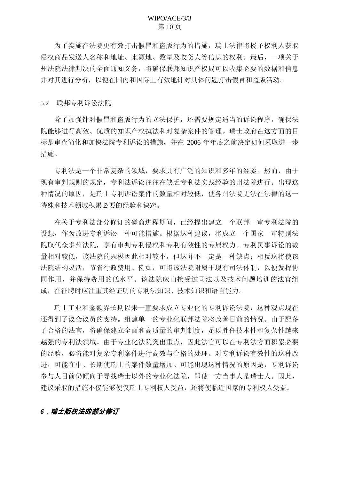## WIPO/ACE/3/3 第10页

<span id="page-9-0"></span>为了实施在法院更有效打击假冒和盗版行为的措施, 瑞士法律将授予权利人获取 侵权商品发送人名称和地址、来源地、数量及收货人等信息的权利。最后, 一项关于 州法院法律判决的全面通知义务,将确保联邦知识产权局可以收集必要的数据和信息 并对其进行分析, 以便在国内和国际上有效地针对具体问题打击假冒和盗版活动。

5.2 联邦专利诉讼法院

除了加强针对假冒和盗版行为的立法保护, 还需要规定适当的诉讼程序, 确保法 院能够进行高效、优质的知识产权执法和对复杂案件的管理。瑞士政府在这方面的目 标是审查简化和加快法院专利诉讼的措施,并在 2006 年年底之前决定如何采取进一步 措施。

专利法是一个非常复杂的领域,要求具有广泛的知识和多年的经验。然而,由于 现有审判规则的规定,专利法诉讼往往在缺乏专利法实践经验的州法院进行。出现这 种情况的原因, 是瑞士专利诉讼案件的数量相对较低, 使各州法院无法在法律的这一 特殊和技术领域积累必要的经验和诀窍。

在关于专利法部分修订的磋商讲程期间,已经提出建立一个联邦一审专利法院的 设想, 作为改进专利诉讼一种可能措施。根据这种建议, 将成立一个国家一审特别法 院取代众多州法院, 享有审判专利侵权和专利有效性的专属权力。专利民事诉讼的数 量相对较低,该法院的规模因此相对较小,但这并不一定是一种缺点;相反这将使该 法院结构灵活, 节省行政费用。例如, 可将该法院附属于现有司法体制, 以便发挥协 同作用,并保持费用的低水平。该法院应由接受过司法以及技术问题培训的法官组 成, 在征聘时应注重其经证明的专利法知识、技术知识和语言能力。

瑞士工业和金额界长期以来一直要求成立专业化的专利诉讼法院,这种观点现在 还得到了议会议员的支持。组建单一的专业化联邦法院将改善目前的情况。由于配备 了合格的法官,将确保建立全面和高质量的审判制度,足以胜任技术性和复杂性越来 越强的专利法领域。由于专业化法院突出重点,因此法官可以在专利法方面积累必要 的经验, 必将能对复杂专利案件进行高效与合格的处理。对专利诉讼有效性的这种改 进,可能在中、长期使瑞士的案件数量增加。可能出现这种情况的原因是,专利诉讼 参与人目前仍倾向于寻找瑞士以外的专业化法院,即使一方当事人是瑞士人。因此, 建议采取的措施不仅能够使仅瑞士专利权人受益, 还将使临近国家的专利权人受益。

#### **6**﹐瑞士版权法的部分修订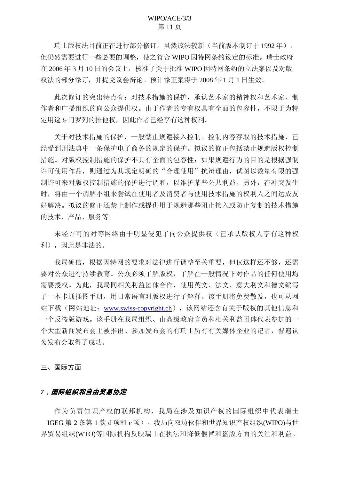<span id="page-10-0"></span>瑞士版权法目前正在进行部分修订。虽然该法较新(当前版本制订于1992年), 但仍然需要进行一些必要的调整, 使之符合 WIPO 因特网条约设定的标准。瑞士政府 在 2006 年 3 月 10 日的会议上, 核准了关于批准 WIPO 因特网条约的立法案以及对版 权法的部分修订,并提交议会辩论。预计修正案将于2008年1月1日生效。

此次修订的突出特点有: 对技术措施的保护, 承认艺术家的精神权和艺术家、制 作者和广播组织的向公众提供权。由于作者的专有权具有全面的包容性,不限于为特 定用途专门罗列的排他权, 因此作者已经享有这种权利。

关于对技术措施的保护,一般禁止规避接入控制。控制内容存取的技术措施,已 经受到刑法典中一条保护电子商务的规定的保护。拟议的修正包括禁止规避版权控制 措施。对版权控制措施的保护不具有全面的包容性: 如果规避行为的目的是根据强制 许可使用作品, 则通过为其规定明确的"合理使用"抗辩理由, 试图以数量有限的强 制许可来对版权控制措施的保护进行调和,以维护某些公共利益。另外,在冲突发生 时, 将由一个调解小组来尝试在使用者及消费者与使用技术措施的权利人之间达成友 好解决。拟议的修正还禁止制作或提供用于规避那些阻止接入或防止复制的技术措施 的技术、产品、服务等。

未经许可的对等网络由于明显侵犯了向公众提供权(已承认版权人享有这种权 利),因此是非法的。

我局确信,根据因特网的要求对法律进行调整至关重要,但仅这样还不够,还需 要对公众进行持续教育。公众必须了解版权,了解在一般情况下对作品的任何使用均 需要授权。为此,我局同相关利益团体合作,使用英文、法文、意大利文和德文编写 了一本卡通插图手册, 用日常语言对版权进行了解释。该手册将免费散发, 也可从网 站下载(网站地址: [www.swiss-copyright.ch](http://www.swiss-copyright.ch/)), 该网站还含有关于版权的其他信息和 一个反盗版游戏。该手册在我局组织、由高级政府官员和相关利益团体代表参加的一 个大型新闻发布会上被推出。参加发布会的有瑞士所有有关媒体企业的记者, 普遍认 为发布会取得了成功。

三、国际方面

#### 7. 国际组织和自由贸易协定

作为负责知识产权的联邦机构,我局在涉及知识产权的国际组织中代表瑞士  $IGEG$  第2条第1款d 项和e 项)。我局向双边伙伴和世界知识产权组织(WIPO)与世 界贸易组织(WTO)等国际机构反映瑞士在执法和降低假冒和盗版方面的关注和利益。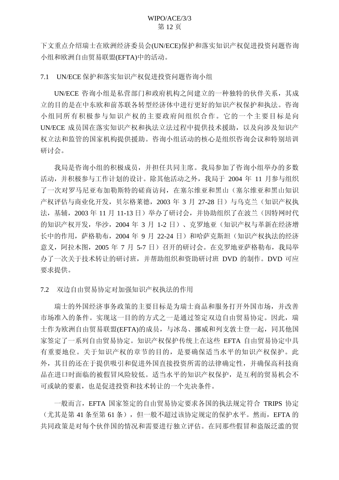<span id="page-11-0"></span>下文重点介绍瑞士在欧洲经济委员会(UN/ECE)保护和落实知识产权促进投资问题咨询 小组和欧洲自由贸易联盟(EFTA)中的活动。

7.1 UN/ECE 保护和落实知识产权促进投资问题咨询小组

UN/ECE 咨询小组是私营部门和政府机构之间建立的一种独特的伙伴关系, 其成 立的目的是在中东欧和前苏联各转型经济体中进行更好的知识产权保护和执法。咨询 小组同所有积极参与知识产权的主要政府间组织合作。它的一个主要目标是向 UN/ECE 成员国在落实知识产权和执法立法过程中提供技术援助, 以及向涉及知识产 权立法和监管的国家机构提供援助。咨询小组活动的核心是组织咨询会议和特别培训 研讨会。

我局是咨询小组的积极成员,并担任共同主席。我局参加了咨询小组举办的多数 活动,并积极参与工作计划的设计。除其他活动之外,我局于 2004 年 11 月参与组织 了一次对罗马尼亚布加勒斯特的磋商访问, 在塞尔维亚和黑山(塞尔维亚和黑山知识 产权评估与商业化开发,贝尔格莱德,2003 年 3 月 27-28 日) 与乌克兰 (知识产权执 法, 基辅, 2003年11月 11-13日)举办了研讨会,并协助组织了在波兰(因特网时代 的知识产权开发, 华沙, 2004年3月 1-2 日)、克罗地亚(知识产权与革新在经济增 长中的作用, 萨格勒布, 2004 年 9 月 22-24 日) 和哈萨克斯坦(知识产权执法的经济 意义, 阿拉木图, 2005 年 7 月 5-7 日) 召开的研讨会。在克罗地亚萨格勒布, 我局举 办了一次关于技术转让的研讨班,并帮助组织和资助研讨班 DVD 的制作。DVD 可应 要求提供。

7.2 双边自由贸易协定对加强知识产权执法的作用

瑞士的外国经济事务政策的主要目标是为瑞士商品和服务打开外国市场,并改善 市场准入的条件。实现这一目的的方式之一是通过签定双边自由贸易协定。因此,瑞 士作为欧洲自由贸易联盟(EFTA)的成员, 与冰岛、挪威和列支敦士登一起, 同其他国 家签定了一系列自由贸易协定。知识产权保护传统上在这些 EFTA 自由贸易协定中具 有重要地位。关于知识产权的章节的目的,是要确保适当水平的知识产权保护。此 外,其目的还在于提供吸引和促进外国直接投资所需的法律确定性,并确保高科技商 品在进口时面临的被假冒风险较低。适当水平的知识产权保护,是互利的贸易机会不 可或缺的要素, 也是促进投资和技术转让的一个先决条件。

一般而言,EFTA 国家签定的自由贸易协定要求各国的执法规定符合 TRIPS 协定 (尤其是第 41 条至第 61 条), 但一般不超过该协定规定的保护水平。然而, EFTA 的 共同政策是对每个伙伴国的情况和需要进行独立评估。在同那些假冒和盗版泛滥的贸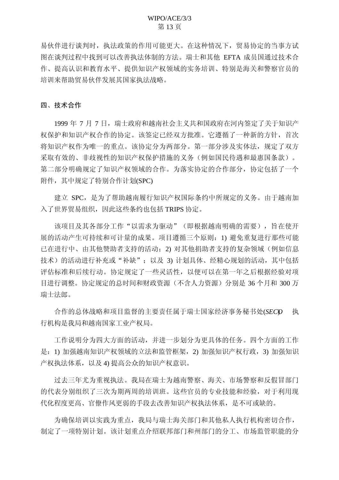<span id="page-12-0"></span>易伙伴进行谈判时,执法政策的作用可能更大。在这种情况下,贸易协定的当事方试 图在谈判过程中找到可以改善执法体制的方法。瑞士和其他 EFTA 成员国通过技术合 作、提高认识和教育水平、提供知识产权领域的实务培训、特别是海关和警察官员的 培训来帮助贸易伙伴发展其国家执法战略。

#### 四、技术合作

1999 年 7 月 7 日,瑞士政府和越南社会主义共和国政府在河内签定了关于知识产 权保护和知识产权合作的协定。该签定已经双方批准。它遵循了一种新的方针,首次 将知识产权作为唯一的重点。该协定分为两部分。第一部分涉及实体法,规定了双方 采取有效的、非歧视性的知识产权保护措施的义务(例如国民待遇和最惠国条款)。 第二部分明确规定了知识产权领域的合作。为落实协定的合作部分,协定包括了一个 附件, 其中规定了特别合作计划(SPC)

建立 SPC, 是为了帮助越南履行知识产权国际条约中所规定的义务。由于越南加 入了世界留易组织, 因此这些条约也包括 TRIPS 协定。

该项目及其各部分工作"以需求为驱动"(即根据越南明确的需要), 旨在使开 展的活动产生可持续和可计量的成果。项目遵循三个原则: 1) 避免重复进行那些可能 已在进行中、由其他赞助者支持的活动: 2)对其他捐助者支持的复杂领域(例如信息 技术) 的活动进行补充或"补缺"; 以及 3) 计划具体、经精心规划的活动, 其中包括 评估标准和后续行动。协定规定了一些灵活性,以便可以在第一年之后根据经验对项 目进行调整。协定规定的总时间和财政资源(不含人力资源)分别是 36 个月和 300 万 瑞士法郎。

合作的总体战略和项目监督的主要责任属于瑞士国家经济事务秘书处(SECO) 执 行机构是我局和越南国家工业产权局。

工作说明分为四大方面的活动,并进一步划分为更具体的任务。四个方面的工作 是: 1) 加强越南知识产权领域的立法和监管框架, 2) 加强知识产权行政, 3) 加强知识 产权执法体系, 以及 4) 提高公众的知识产权意识。

过去三年尤为重视执法。我局在瑞士为越南警察、海关、市场警察和反假冒部门 的代表分别组织了三次为期两周的培训班。这些官员的专业技能和经验, 对于利用现 代化程度更高、官僚作风更弱的手段去改善知识产权执法体系,是不可或缺的。

为确保培训以实践为重点,我局与瑞士海关部门和其他私人执行机构密切合作, 制定了一项特别计划。该计划重点介绍联邦部门和州部门的分工、市场监管职能的分